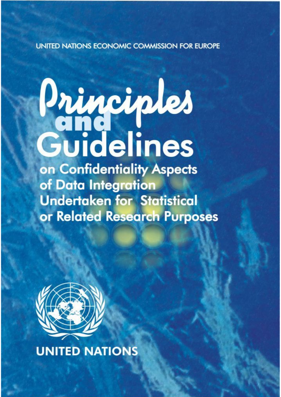## UNITED NATIONS ECONOMIC COMMISSION FOR EUROPE

# Principles<br>Guidelines

on Confidentiality Aspects of Data Integration **Undertaken for Statistical** or Related Research Purposes



**UNITED NATIONS**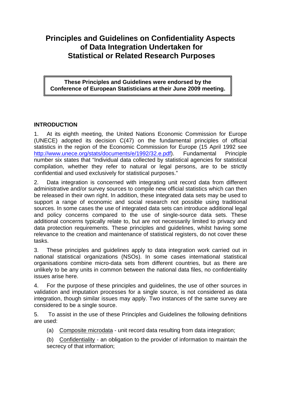# **Principles and Guidelines on Confidentiality Aspects of Data Integration Undertaken for Statistical or Related Research Purposes**

**These Principles and Guidelines were endorsed by the Conference of European Statisticians at their June 2009 meeting.** 

### **INTRODUCTION**

1. At its eighth meeting, the United Nations Economic Commission for Europe (UNECE) adopted its decision C(47) on the fundamental principles of official statistics in the region of the Economic Commission for Europe (15 April 1992 see <http://www.unece.org/stats/documents/e/1992/32.e.pdf>). Fundamental Principle number six states that "Individual data collected by statistical agencies for statistical compilation, whether they refer to natural or legal persons, are to be strictly confidential and used exclusively for statistical purposes."

2. Data integration is concerned with integrating unit record data from different administrative and/or survey sources to compile new official statistics which can then be released in their own right. In addition, these integrated data sets may be used to support a range of economic and social research not possible using traditional sources. In some cases the use of integrated data sets can introduce additional legal and policy concerns compared to the use of single-source data sets. These additional concerns typically relate to, but are not necessarily limited to privacy and data protection requirements. These principles and guidelines, whilst having some relevance to the creation and maintenance of statistical registers, do not cover these tasks.

3. These principles and guidelines apply to data integration work carried out in national statistical organizations (NSOs). In some cases international statistical organisations combine micro-data sets from different countries, but as there are unlikely to be any units in common between the national data files, no confidentiality issues arise here.

4. For the purpose of these principles and guidelines, the use of other sources in validation and imputation processes for a single source, is not considered as data integration, though similar issues may apply. Two instances of the same survey are considered to be a single source.

5. To assist in the use of these Principles and Guidelines the following definitions are used:

(a) Composite microdata - unit record data resulting from data integration;

(b) Confidentiality - an obligation to the provider of information to maintain the secrecy of that information;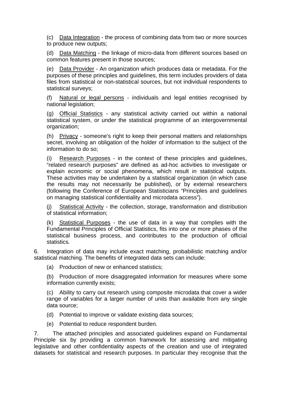(c) Data Integration - the process of combining data from two or more sources to produce new outputs;

(d) Data Matching - the linkage of micro-data from different sources based on common features present in those sources;

(e) Data Provider - An organization which produces data or metadata. For the purposes of these principles and guidelines, this term includes providers of data files from statistical or non-statistical sources, but not individual respondents to statistical surveys;

(f) Natural or legal persons - individuals and legal entities recognised by national legislation;

(g) Official Statistics - any statistical activity carried out within a national statistical system, or under the statistical programme of an intergovernmental organization;

(h) Privacy - someone's right to keep their personal matters and relationships secret, involving an obligation of the holder of information to the subject of the information to do so;

(i) Research Purposes - in the context of these principles and guidelines, "related research purposes" are defined as ad-hoc activities to investigate or explain economic or social phenomena, which result in statistical outputs. These activities may be undertaken by a statistical organization (in which case the results may not necessarily be published), or by external researchers (following the Conference of European Statisticians "Principles and guidelines on managing statistical confidentiality and microdata access").

(j) Statistical Activity - the collection, storage, transformation and distribution of statistical information;

(k) Statistical Purposes - the use of data in a way that complies with the Fundamental Principles of Official Statistics, fits into one or more phases of the statistical business process, and contributes to the production of official statistics*.* 

6. Integration of data may include exact matching, probabilistic matching and/or statistical matching. The benefits of integrated data sets can include:

(a) Production of new or enhanced statistics;

(b) Production of more disaggregated information for measures where some information currently exists;

(c) Ability to carry out research using composite microdata that cover a wider range of variables for a larger number of units than available from any single data source;

(d) Potential to improve or validate existing data sources;

(e) Potential to reduce respondent burden.

7. The attached principles and associated guidelines expand on Fundamental Principle six by providing a common framework for assessing and mitigating legislative and other confidentiality aspects of the creation and use of integrated datasets for statistical and research purposes. In particular they recognise that the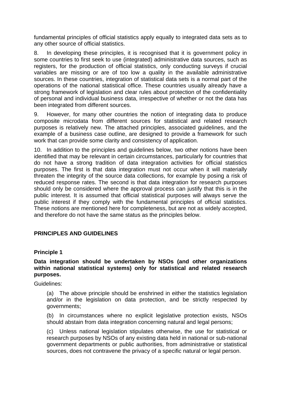fundamental principles of official statistics apply equally to integrated data sets as to any other source of official statistics.

8. In developing these principles, it is recognised that it is government policy in some countries to first seek to use (integrated) administrative data sources, such as registers, for the production of official statistics, only conducting surveys if crucial variables are missing or are of too low a quality in the available administrative sources. In these countries, integration of statistical data sets is a normal part of the operations of the national statistical office. These countries usually already have a strong framework of legislation and clear rules about protection of the confidentiality of personal and individual business data, irrespective of whether or not the data has been integrated from different sources.

9. However, for many other countries the notion of integrating data to produce composite microdata from different sources for statistical and related research purposes is relatively new. The attached principles, associated guidelines, and the example of a business case outline, are designed to provide a framework for such work that can provide some clarity and consistency of application.

10. In addition to the principles and guidelines below, two other notions have been identified that may be relevant in certain circumstances, particularly for countries that do not have a strong tradition of data integration activities for official statistics purposes. The first is that data integration must not occur when it will materially threaten the integrity of the source data collections, for example by posing a risk of reduced response rates. The second is that data integration for research purposes should only be considered where the approval process can justify that this is in the public interest. It is assumed that official statistical purposes will always serve the public interest if they comply with the fundamental principles of official statistics. These notions are mentioned here for completeness, but are not as widely accepted, and therefore do not have the same status as the principles below.

### **PRINCIPLES AND GUIDELINES**

### **Principle 1**

### **Data integration should be undertaken by NSOs (and other organizations within national statistical systems) only for statistical and related research purposes.**

Guidelines:

(a) The above principle should be enshrined in either the statistics legislation and/or in the legislation on data protection, and be strictly respected by governments;

(b) In circumstances where no explicit legislative protection exists, NSOs should abstain from data integration concerning natural and legal persons;

(c) Unless national legislation stipulates otherwise, the use for statistical or research purposes by NSOs of any existing data held in national or sub-national government departments or public authorities, from administrative or statistical sources, does not contravene the privacy of a specific natural or legal person.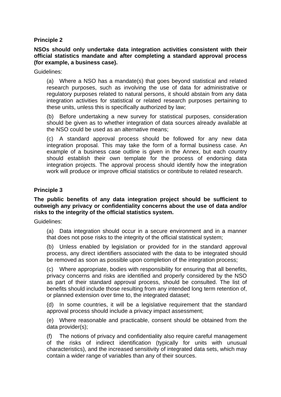### **Principle 2**

**NSOs should only undertake data integration activities consistent with their official statistics mandate and after completing a standard approval process (for example, a business case).** 

Guidelines:

(a) Where a NSO has a mandate(s) that goes beyond statistical and related research purposes, such as involving the use of data for administrative or regulatory purposes related to natural persons, it should abstain from any data integration activities for statistical or related research purposes pertaining to these units, unless this is specifically authorized by law;

(b) Before undertaking a new survey for statistical purposes, consideration should be given as to whether integration of data sources already available at the NSO could be used as an alternative means;

(c) A standard approval process should be followed for any new data integration proposal. This may take the form of a formal business case. An example of a business case outline is given in the Annex, but each country should establish their own template for the process of endorsing data integration projects. The approval process should identify how the integration work will produce or improve official statistics or contribute to related research.

### **Principle 3**

### **The public benefits of any data integration project should be sufficient to outweigh any privacy or confidentiality concerns about the use of data and/or risks to the integrity of the official statistics system.**

Guidelines:

(a) Data integration should occur in a secure environment and in a manner that does not pose risks to the integrity of the official statistical system;

(b) Unless enabled by legislation or provided for in the standard approval process, any direct identifiers associated with the data to be integrated should be removed as soon as possible upon completion of the integration process;

(c) Where appropriate, bodies with responsibility for ensuring that all benefits, privacy concerns and risks are identified and properly considered by the NSO as part of their standard approval process, should be consulted. The list of benefits should include those resulting from any intended long term retention of, or planned extension over time to, the integrated dataset;

(d) In some countries, it will be a legislative requirement that the standard approval process should include a privacy impact assessment;

(e) Where reasonable and practicable, consent should be obtained from the data provider(s);

(f) The notions of privacy and confidentiality also require careful management of the risks of indirect identification (typically for units with unusual characteristics), and the increased sensitivity of integrated data sets, which may contain a wider range of variables than any of their sources.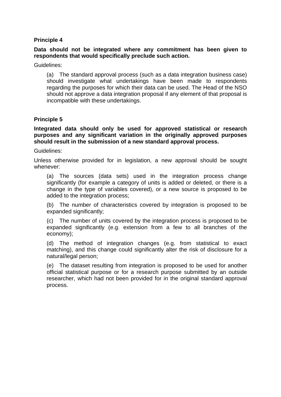### **Principle 4**

### **Data should not be integrated where any commitment has been given to respondents that would specifically preclude such action.**

Guidelines:

(a) The standard approval process (such as a data integration business case) should investigate what undertakings have been made to respondents regarding the purposes for which their data can be used. The Head of the NSO should not approve a data integration proposal if any element of that proposal is incompatible with these undertakings.

### **Principle 5**

**Integrated data should only be used for approved statistical or research purposes and any significant variation in the originally approved purposes should result in the submission of a new standard approval process.** 

Guidelines:

Unless otherwise provided for in legislation, a new approval should be sought whenever:

(a) The sources (data sets) used in the integration process change significantly (for example a category of units is added or deleted, or there is a change in the type of variables covered), or a new source is proposed to be added to the integration process;

(b) The number of characteristics covered by integration is proposed to be expanded significantly;

(c) The number of units covered by the integration process is proposed to be expanded significantly (e.g. extension from a few to all branches of the economy);

(d) The method of integration changes (e.g. from statistical to exact matching), and this change could significantly alter the risk of disclosure for a natural/legal person;

(e) The dataset resulting from integration is proposed to be used for another official statistical purpose or for a research purpose submitted by an outside researcher, which had not been provided for in the original standard approval process.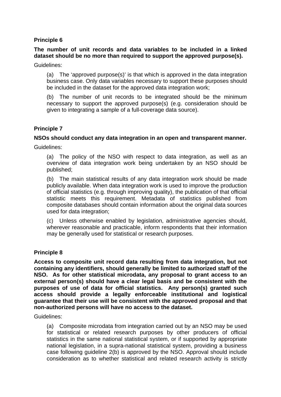### **Principle 6**

### **The number of unit records and data variables to be included in a linked dataset should be no more than required to support the approved purpose(s).**

Guidelines:

(a) The 'approved purpose(s)' is that which is approved in the data integration business case. Only data variables necessary to support these purposes should be included in the dataset for the approved data integration work;

(b) The number of unit records to be integrated should be the minimum necessary to support the approved purpose(s) (e.g. consideration should be given to integrating a sample of a full-coverage data source).

### **Principle 7**

### **NSOs should conduct any data integration in an open and transparent manner.**

Guidelines:

(a) The policy of the NSO with respect to data integration, as well as an overview of data integration work being undertaken by an NSO should be published;

(b) The main statistical results of any data integration work should be made publicly available. When data integration work is used to improve the production of official statistics (e.g. through improving quality), the publication of that official statistic meets this requirement. Metadata of statistics published from composite databases should contain information about the original data sources used for data integration;

(c) Unless otherwise enabled by legislation, administrative agencies should, wherever reasonable and practicable, inform respondents that their information may be generally used for statistical or research purposes.

### **Principle 8**

**Access to composite unit record data resulting from data integration, but not containing any identifiers, should generally be limited to authorized staff of the NSO. As for other statistical microdata, any proposal to grant access to an external person(s) should have a clear legal basis and be consistent with the purposes of use of data for official statistics. Any person(s) granted such access should provide a legally enforceable institutional and logistical guarantee that their use will be consistent with the approved proposal and that non-authorized persons will have no access to the dataset.** 

Guidelines:

(a) Composite microdata from integration carried out by an NSO may be used for statistical or related research purposes by other producers of official statistics in the same national statistical system, or if supported by appropriate national legislation, in a supra-national statistical system, providing a business case following guideline 2(b) is approved by the NSO. Approval should include consideration as to whether statistical and related research activity is strictly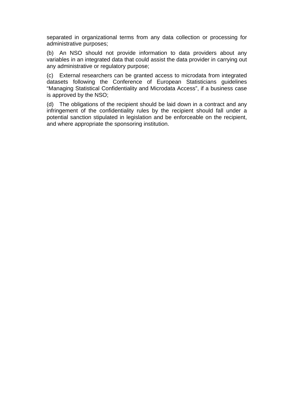separated in organizational terms from any data collection or processing for administrative purposes;

(b) An NSO should not provide information to data providers about any variables in an integrated data that could assist the data provider in carrying out any administrative or regulatory purpose;

(c) External researchers can be granted access to microdata from integrated datasets following the Conference of European Statisticians guidelines "Managing Statistical Confidentiality and Microdata Access", if a business case is approved by the NSO;

(d) The obligations of the recipient should be laid down in a contract and any infringement of the confidentiality rules by the recipient should fall under a potential sanction stipulated in legislation and be enforceable on the recipient, and where appropriate the sponsoring institution.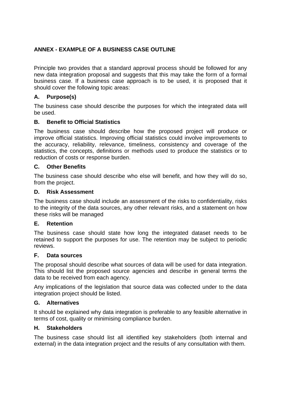### **ANNEX - EXAMPLE OF A BUSINESS CASE OUTLINE**

Principle two provides that a standard approval process should be followed for any new data integration proposal and suggests that this may take the form of a formal business case. If a business case approach is to be used, it is proposed that it should cover the following topic areas:

### **A. Purpose(s)**

The business case should describe the purposes for which the integrated data will be used.

### **B. Benefit to Official Statistics**

The business case should describe how the proposed project will produce or improve official statistics. Improving official statistics could involve improvements to the accuracy, reliability, relevance, timeliness, consistency and coverage of the statistics, the concepts, definitions or methods used to produce the statistics or to reduction of costs or response burden.

### **C. Other Benefits**

The business case should describe who else will benefit, and how they will do so, from the project.

### **D. Risk Assessment**

The business case should include an assessment of the risks to confidentiality, risks to the integrity of the data sources, any other relevant risks, and a statement on how these risks will be managed

### **E. Retention**

The business case should state how long the integrated dataset needs to be retained to support the purposes for use. The retention may be subject to periodic reviews.

### **F. Data sources**

The proposal should describe what sources of data will be used for data integration. This should list the proposed source agencies and describe in general terms the data to be received from each agency.

Any implications of the legislation that source data was collected under to the data integration project should be listed.

### **G. Alternatives**

It should be explained why data integration is preferable to any feasible alternative in terms of cost, quality or minimising compliance burden.

### **H. Stakeholders**

The business case should list all identified key stakeholders (both internal and external) in the data integration project and the results of any consultation with them.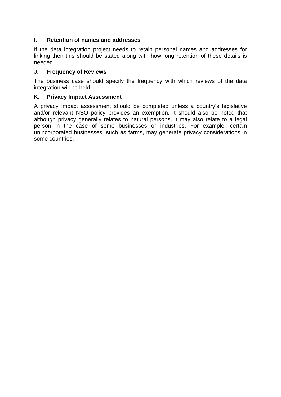### **I. Retention of names and addresses**

If the data integration project needs to retain personal names and addresses for linking then this should be stated along with how long retention of these details is needed.

### **J. Frequency of Reviews**

The business case should specify the frequency with which reviews of the data integration will be held.

### **K. Privacy Impact Assessment**

A privacy impact assessment should be completed unless a country's legislative and/or relevant NSO policy provides an exemption. It should also be noted that although privacy generally relates to natural persons, it may also relate to a legal person in the case of some businesses or industries. For example, certain unincorporated businesses, such as farms, may generate privacy considerations in some countries.